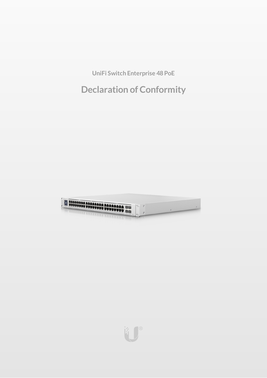**UniFi Switch Enterprise 48PoE**

**Declaration of Conformity**



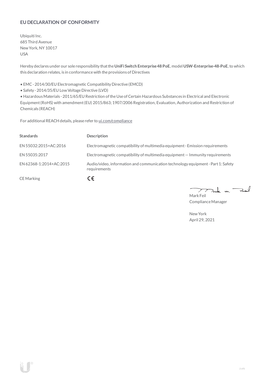# **EU DECLARATION OF CONFORMITY**

Ubiquiti Inc. 685 Third Avenue NewYork, NY 10017 USA

Hereby declares under our sole responsibility thatthe**UniFi Switch Enterprise48 PoE**, model **USW-Enterprise-48-PoE**, to which this declaration relates, is in conformancewith the provisions of Directives

• EMC- 2014/30/EU Electromagnetic Compatibility Directive (EMCD)

• Safety - 2014/35/EU Low Voltage Directive (LVD)

• HazardousMaterials - 2011/65/EU Restriction oftheUse ofCertain Hazardous Substances in Electrical and Electronic Equipment(RoHS) with amendment(EU) 2015/863; 1907/2006 Registration, Evaluation, Authorization and Restriction of Chemicals (REACH)

For additional REACH details, please refer to [ui.com/compliance](https://www.ui.com/compliance/)

| <b>Standards</b>        | <b>Description</b>                                                                               |
|-------------------------|--------------------------------------------------------------------------------------------------|
| EN 55032:2015+AC:2016   | Electromagnetic compatibility of multimedia equipment - Emission requirements                    |
| EN 55035:2017           | Electromagnetic compatibility of multimedia equipment $-$ Immunity requirements                  |
| EN 62368-1:2014+AC:2015 | Audio/video, information and communication technology equipment - Part 1: Safety<br>requirements |
| <b>CE</b> Marking       | CΕ                                                                                               |

Tak m. Fail 7 Mark Feil

ComplianceManager

NewYork April 29, 2021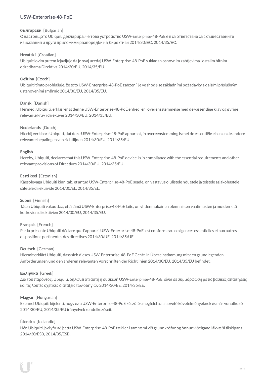## **USW-Enterprise-48-PoE**

### **български** [Bulgarian]

С настоящото Ubiquiti декларира, че това устройство USW-Enterprise-48-PoE е в съответствие със съществените изисквания и други приложими разпоредби на Директиви 2014/30/ЕС, 2014/35/ЕС.

### **Hrvatski** [Croatian]

Ubiquiti ovim putem izjavljuje da je ovaj uređaj USW-Enterprise-48-PoE sukladan osnovnim zahtjevima i ostalim bitnim odredbama Direktiva 2014/30/EU, 2014/35/EU.

## **Čeština** [Czech]

Ubiquititímto prohlašuje, že toto USW-Enterprise-48-PoE zařízení, je ve shodě se základními požadavky a dalšími příslušnými ustanoveními směrnic 2014/30/EU, 2014/35/EU.

### **Dansk** [Danish]

Hermed, Ubiquiti, erklærer at denne USW-Enterprise-48-PoE enhed, er i overensstemmelse med de væsentlige krav og øvrige relevante krav i direktiver 2014/30/EU, 2014/35/EU.

### **Nederlands** [Dutch]

Hierbij verklaart Ubiquiti, dat deze USW-Enterprise-48-PoE apparaat, in overeenstemming is met de essentiële eisen en de andere relevante bepalingen van richtlijnen 2014/30/EU, 2014/35/EU.

### **English**

Hereby, Ubiquiti, declares thatthis USW-Enterprise-48-PoE device, is in compliancewith the essential requirements and other relevantprovisions of Directives 2014/30/EU, 2014/35/EU.

### **Eesti keel** [Estonian]

Käesolevaga Ubiquiti kinnitab, et antud USW-Enterprise-48-PoE seade, on vastavus olulistele nõuetele ja teistele asjakohastele sätetele direktiivide 2014/30/EL, 2014/35/EL,

### **Suomi** [Finnish]

Täten Ubiquiti vakuuttaa, että tämä USW-Enterprise-48-PoE laite, on yhdenmukainen olennaisten vaatimusten ja muiden sitä koskevien direktiivien 2014/30/EU, 2014/35/EU.

## **Français** [French]

Par la présente Ubiquiti déclare que l'appareil USW-Enterprise-48-PoE, est conforme aux exigences essentielles et aux autres dispositions pertinentes des directives 2014/30/UE, 2014/35/UE.

### **Deutsch** [German]

HiermiterklärtUbiquiti, dass sich dieses USW-Enterprise-48-PoE Gerät, in Übereinstimmung mitden grundlegenden Anforderungen und den anderen relevanten Vorschriften der Richtlinien 2014/30/EU, 2014/35/EU befindet.

### **Ελληνικά** [Greek]

Δια του παρόντος, Ubiquiti, δηλώνει ότι αυτή η συσκευή USW-Enterprise-48-PoE, είναι σεσυµµόρφωση µε τις βασικές απαιτήσεις καιτις λοιπές σχετικές διατάξεις των οδηγιών 2014/30/EE, 2014/35/EE.

### **Magyar** [Hungarian]

Ezennel Ubiquiti kijelenti, hogy ez a USW-Enterprise-48-PoE készülék megfelel az alapvető követelményeknek és más vonatkozó 2014/30/EU, 2014/35/EU irányelvek rendelkezéseit.

### **Íslenska** [Icelandic]

Hér, Ubiquiti, því yfir að þetta USW-Enterprise-48-PoE tæki er í samræmi við grunnkröfur og önnur viðeigandi ákvæði tilskipana 2014/30/ESB, 2014/35/ESB.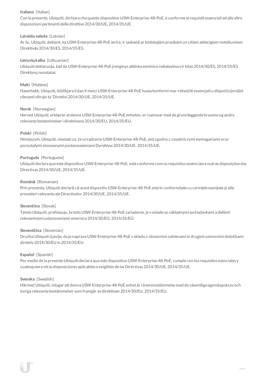## **Italiano** [Italian]

Con la presente, Ubiquiti, dichiara che questo dispositivo USW-Enterprise-48-PoE, è conforme ai requisiti essenziali ed alle altre disposizioni pertinenti delle direttive2014/30/UE, 2014/35/UE.

## **Latviešu valoda** [Latvian]

Ar šo, Ubiquiti, deklarē, ka USW-Enterprise-48-PoE ierīce, ir saskaņā ar būtiskajām prasībām un citiem attiecīgiem noteikumiem Direktīvās 2014/30/ES, 2014/35/ES.

## **Lietuviųkalba** [Lithuanian]

Ubiquiti deklaruoja, kad šis USW-Enterprise-48-PoE įrenginys atitinka esminius reikalavimus ir kitas 2014/30/ES, 2014/35/ES Direktyvų nuostatas.

## **Malti** [Maltese]

Hawnhekk, Ubiquiti, tiddikjara li dan il-mezz USW-Enterprise-48-PoE huwa konformi mar-rekwiżiti essenzjali u dispożizzjonijiet rilevanti oħrajn ta 'Direttivi 2014/30/UE, 2014/35/UE.

### **Norsk** [Norwegian]

Herved Ubiquiti, erklærer at denne USW-Enterprise-48-PoE enheten, er i samsvar med de grunnleggende kravene og andre relevante bestemmelser i direktivene2014/30/EU, 2014/35/EU.

## **Polski** [Polish]

Niniejszym, Ubiquiti, oświadcza, że urządzenieUSW-Enterprise-48-PoE, jest zgodny z zasadniczymi wymaganiami oraz pozostałymi stosownymi postanowieniami Dyrektyw2014/30/UE, 2014/35/UE.

### **Português** [Portuguese]

Ubiquiti declara que este dispositivo USW-Enterprise-48-PoE, está conforme com os requisitos essenciais e outras disposições das Directivas 2014/30/UE, 2014/35/UE.

### **Română** [Romanian]

Prin prezenta, Ubiquiti declară că acestdispozitiv USW-Enterprise-48-PoE este în conformitate cu cerințele esențiale și alte prevederi relevante aleDirectivelor 2014/30/UE, 2014/35/UE.

### **Slovenčina** [Slovak]

Týmto Ubiquiti, prehlasuje, že toto USW-Enterprise-48-PoE zariadenie, je v súlade so základnými požiadavkami a ďalšími relevantnými ustanoveniami smernice2014/30/EÚ, 2014/35/EÚ.

### **Slovenščina** [Slovenian]

Družba Ubiquiti izjavlja, da je naprava USW-Enterprise-48-PoE v skladu z obveznimi zahtevami in drugimi ustreznimi določbami direktiv 2014/30/EU in 2014/35/EU.

### **Español** [Spanish]

Por medio de la presente Ubiquiti declara que este dispositivo USW-Enterprise-48-PoE, cumple con los requisitos esenciales y cualesquiera otras disposiciones aplicables o exigibles de lasDirectivas 2014/30/UE, 2014/35/UE.

### **Svenska** [Swedish]

Härmed Ubiquiti, intygar attdenna USW-Enterprise-48-PoE enhet är i överensstämmelse med de väsentliga egenskapskrav och övriga relevanta bestämmelser som framgår av direktiven 2014/30/EU, 2014/35/EU.